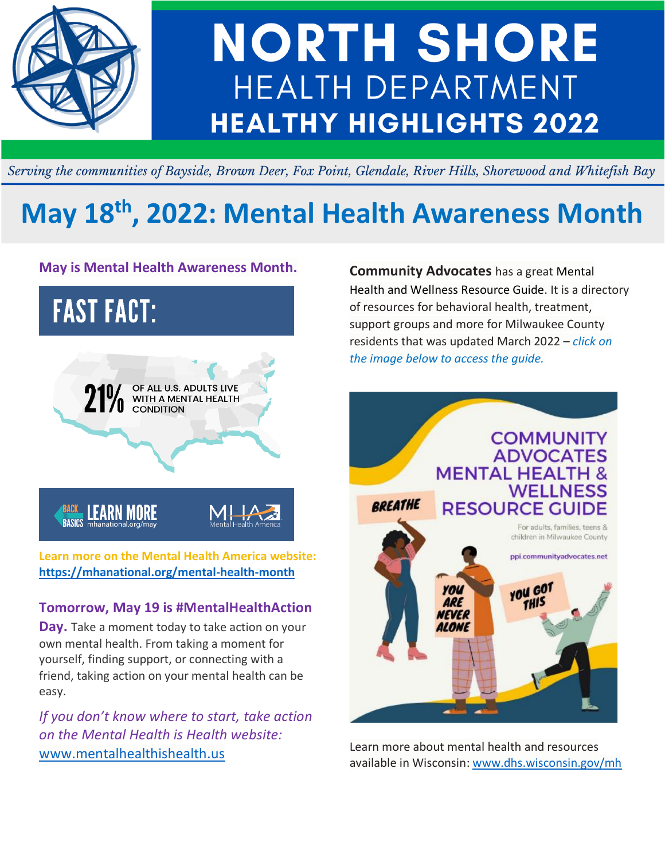

## **NORTH SHORE** HEALTH DEPARTMENT **HEALTHY HIGHLIGHTS 2022**

Serving the communities of Bayside, Brown Deer, Fox Point, Glendale, River Hills, Shorewood and Whitefish Bay

## **May 18 th, 2022: Mental Health Awareness Month**

### **May is Mental Health Awareness Month.**



**Learn more on the Mental Health America website: https://mhanational.org/mental-health-month**

### **Tomorrow, May 19 is #MentalHealthAction**

**Day.** Take a moment today to take action on your own mental health. From taking a moment for yourself, finding support, or connecting with a friend, taking action on your mental health can be easy.

*If you don't know where to start, take action on the Mental Health is Health website:* www.mentalhealthishealth.us

**Community Advocates** has a great Mental Health and Wellness Resource Guide. It is a directory of resources for behavioral health, treatment, support groups and more for Milwaukee County residents that was updated March 2022 – *click on the image below to access the guide.*



Learn more about mental health and resources available in Wisconsin: www.dhs.wisconsin.gov/mh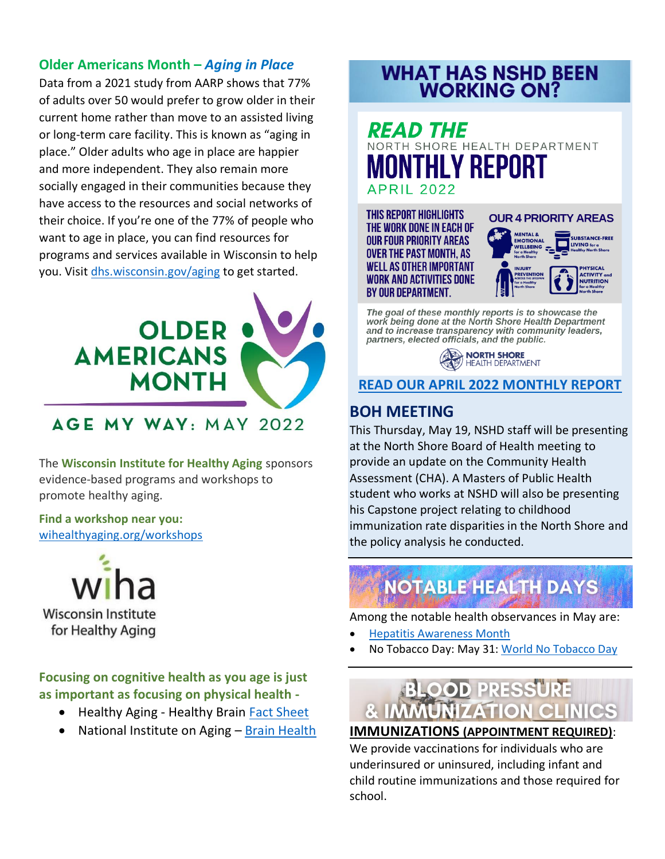### **Older Americans Month –** *Aging in Place*

Data from a 2021 study from AARP shows that 77% of adults over 50 would prefer to grow older in their current home rather than move to an assisted living or long-term care facility. This is known as "aging in place." Older adults who age in place are happier and more independent. They also remain more socially engaged in their communities because they have access to the resources and social networks of their choice. If you're one of the 77% of people who want to age in place, you can find resources for programs and services available in Wisconsin to help you. Visi[t dhs.wisconsin.gov/aging](https://www.dhs.wisconsin.gov/aging/index.htm?fbclid=IwAR0h6Rs30AisurUqVMkaoriUXw1H28TOQt0eDZC6iVtzrTnegkwhFFfQ_H0) to get started.



AGE MY WAY: MAY 2022

The **Wisconsin Institute for Healthy Aging** sponsors evidence-based programs and workshops to promote healthy aging.

**Find a workshop near you:** [wihealthyaging.org/workshops](https://wihealthyaging.org/workshops)

**Wisconsin Institute** for Healthy Aging

**Focusing on cognitive health as you age is just as important as focusing on physical health -**

- Healthy Aging Healthy Brain [Fact Sheet](https://wihealthyaging.org/_data/cms_files/Brain%20Health/Brain%20Health%20Fact%20Sheet.pdf?u=1XNvey)
- National Institute on Aging [Brain Health](https://www.nia.nih.gov/health/topics/brain-health)

# **WHAT HAS NSHD BEEN<br>WORKING ON?**

### READ THE NORTH SHORE HEALTH DEPARTMENT THLY REPORT **APRIL 2022**

**THIS REPORT HIGHLIGHTS** THE WORK DONE IN EACH OF **OUR FOUR PRIORITY AREAS OVER THE PAST MONTH. AS WELL AS OTHER IMPORTANT WORK AND ACTIVITIES DONE** BY OUR DEPARTMENT.



The goal of these monthly reports is to showcase the work being done at the North Shore Health Department and to increase transparency with community leaders, partners, elected officials, and the public.

> NORTH SHORE HEALTH DEPARTMENT

**[READ OUR APRIL 2022 MONTHLY REPORT](https://www.nshealthdept.org/Portals/NsHealthDept.org/NSHD%20Monthly%20Report%20April%202022_1.pdf)**

### **BOH MEETING**

This Thursday, May 19, NSHD staff will be presenting at the North Shore Board of Health meeting to provide an update on the Community Health Assessment (CHA). A Masters of Public Health student who works at NSHD will also be presenting his Capstone project relating to childhood immunization rate disparities in the North Shore and the policy analysis he conducted.

### **NOTABLE HEALTH DAYS**

Among the notable health observances in May are:

- [Hepatitis Awareness Month](https://www.nia.nih.gov/health/topics/brain-health)
- No Tobacco Day: May 31[: World No Tobacco Day](https://www.who.int/campaigns/world-no-tobacco-day)

# **& IMMUNIZATION CLINICS**

**IMMUNIZATIONS (APPOINTMENT REQUIRED)**:

We provide vaccinations for individuals who are underinsured or uninsured, including infant and child routine immunizations and those required for school.